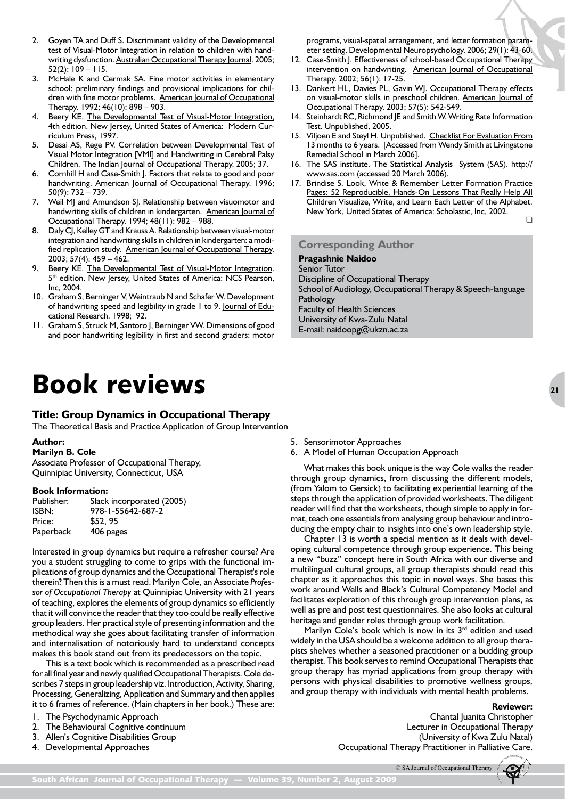# Book reviews

# **Title: Group Dynamics in Occupational Therapy**

The Theoretical Basis and Practice Application of Group Intervention

#### **Author:**

**Marilyn B. Cole**

Associate Professor of Occupational Therapy, Quinnipiac University, Connecticut, USA

#### **Book Information:**

| Publisher: | Slack incorporated (2005) |
|------------|---------------------------|
| ISBN:      | 978-1-55642-687-2         |
| Price:     | \$52.95                   |
| Paperback  | 406 pages                 |

Interested in group dynamics but require a refresher course? Are you a student struggling to come to grips with the functional implications of group dynamics and the Occupational Therapist's role therein? Then this is a must read. Marilyn Cole, an Associate *Professor of Occupational Therapy* at Quinnipiac University with 21 years of teaching, explores the elements of group dynamics so efficiently that it will convince the reader that they too could be really effective group leaders. Her practical style of presenting information and the methodical way she goes about facilitating transfer of information and internalisation of notoriously hard to understand concepts makes this book stand out from its predecessors on the topic.

This is a text book which is recommended as a prescribed read for all final year and newly qualified Occupational Therapists. Cole describes 7 steps in group leadership viz. Introduction, Activity, Sharing, Processing, Generalizing, Application and Summary and then applies it to 6 frames of reference. (Main chapters in her book.) These are:

- 1. The Psychodynamic Approach
- 2. The Behavioural Cognitive continuum
- 3. Allen's Cognitive Disabilities Group
- 4. Developmental Approaches
- 5. Sensorimotor Approaches
- 6. A Model of Human Occupation Approach

What makes this book unique is the way Cole walks the reader through group dynamics, from discussing the different models, (from Yalom to Gersick) to facilitating experiential learning of the steps through the application of provided worksheets. The diligent reader will find that the worksheets, though simple to apply in format, teach one essentials from analysing group behaviour and introducing the empty chair to insights into one's own leadership style.

Chapter 13 is worth a special mention as it deals with developing cultural competence through group experience. This being a new "buzz" concept here in South Africa with our diverse and multilingual cultural groups, all group therapists should read this chapter as it approaches this topic in novel ways. She bases this work around Wells and Black's Cultural Competency Model and facilitates exploration of this through group intervention plans, as well as pre and post test questionnaires. She also looks at cultural heritage and gender roles through group work facilitation.

Marilyn Cole's book which is now in its 3<sup>rd</sup> edition and used widely in the USA should be a welcome addition to all group therapists shelves whether a seasoned practitioner or a budding group therapist. This book serves to remind Occupational Therapists that group therapy has myriad applications from group therapy with persons with physical disabilities to promotive wellness groups, and group therapy with individuals with mental health problems.

#### **Reviewer:**

Chantal Juanita Christopher Lecturer in Occupational Therapy (University of Kwa Zulu Natal) Occupational Therapy Practitioner in Palliative Care.

© SA Journal of Occupational Therapy



South African Journal of Occupational Therapy — Volume 39, Number 2, August 2009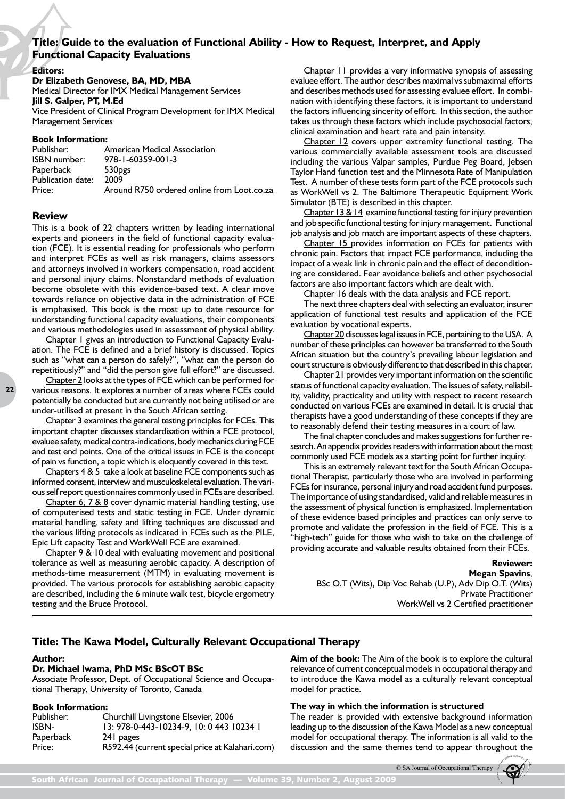# **Title: Guide to the evaluation of Functional Ability - How to Request, Interpret, and Apply Functional Capacity Evaluations**

**Editors:**

## **Dr Elizabeth Genovese, BA, MD, MBA**

Medical Director for IMX Medical Management Services **Jill S. Galper, PT, M.Ed**

Vice President of Clinical Program Development for IMX Medical Management Services

## **Book Information:**

| Publisher:          | American Medical Association               |
|---------------------|--------------------------------------------|
| <b>ISBN</b> number: | $978 - 1 - 60359 - 001 - 3$                |
| Paperback           | 530 <sub>pgs</sub>                         |
| Publication date:   | 2009                                       |
| Price:              | Around R750 ordered online from Loot.co.za |

## **Review**

**22**

This is a book of 22 chapters written by leading international experts and pioneers in the field of functional capacity evaluation (FCE). It is essential reading for professionals who perform and interpret FCEs as well as risk managers, claims assessors and attorneys involved in workers compensation, road accident and personal injury claims. Nonstandard methods of evaluation become obsolete with this evidence-based text. A clear move towards reliance on objective data in the administration of FCE is emphasised. This book is the most up to date resource for understanding functional capacity evaluations, their components and various methodologies used in assessment of physical ability.

Chapter 1 gives an introduction to Functional Capacity Evaluation. The FCE is defined and a brief history is discussed. Topics such as "what can a person do safely?", "what can the person do repetitiously?" and "did the person give full effort?" are discussed.

Chapter 2 looks at the types of FCE which can be performed for various reasons. It explores a number of areas where FCEs could potentially be conducted but are currently not being utilised or are under-utilised at present in the South African setting.

Chapter 3 examines the general testing principles for FCEs. This important chapter discusses standardisation within a FCE protocol, evaluee safety, medical contra-indications, body mechanics during FCE and test end points. One of the critical issues in FCE is the concept of pain vs function, a topic which is eloquently covered in this text.

Chapters 4 & 5 take a look at baseline FCE components such as informed consent, interview and musculoskeletal evaluation. The various self report questionnaires commonly used in FCEs are described.

Chapter 6, 7 & 8 cover dynamic material handling testing, use of computerised tests and static testing in FCE. Under dynamic material handling, safety and lifting techniques are discussed and the various lifting protocols as indicated in FCEs such as the PILE, Epic Lift capacity Test and WorkWell FCE are examined.

Chapter 9 & 10 deal with evaluating movement and positional tolerance as well as measuring aerobic capacity. A description of methods-time measurement (MTM) in evaluating movement is provided. The various protocols for establishing aerobic capacity are described, including the 6 minute walk test, bicycle ergometry testing and the Bruce Protocol.

Chapter 11 provides a very informative synopsis of assessing evaluee effort. The author describes maximal vs submaximal efforts and describes methods used for assessing evaluee effort. In combination with identifying these factors, it is important to understand the factors influencing sincerity of effort. In this section, the author takes us through these factors which include psychosocial factors, clinical examination and heart rate and pain intensity.

Chapter 12 covers upper extremity functional testing. The various commercially available assessment tools are discussed including the various Valpar samples, Purdue Peg Board, Jebsen Taylor Hand function test and the Minnesota Rate of Manipulation Test. A number of these tests form part of the FCE protocols such as WorkWell vs 2. The Baltimore Therapeutic Equipment Work Simulator (BTE) is described in this chapter.

Chapter 13 & 14 examine functional testing for injury prevention and job specific functional testing for injury management. Functional job analysis and job match are important aspects of these chapters.

Chapter 15 provides information on FCEs for patients with chronic pain. Factors that impact FCE performance, including the impact of a weak link in chronic pain and the effect of deconditioning are considered. Fear avoidance beliefs and other psychosocial factors are also important factors which are dealt with.

Chapter 16 deals with the data analysis and FCE report.

The next three chapters deal with selecting an evaluator, insurer application of functional test results and application of the FCE evaluation by vocational experts.

Chapter 20 discusses legal issues in FCE, pertaining to the USA. A number of these principles can however be transferred to the South African situation but the country's prevailing labour legislation and court structure is obviously different to that described in this chapter.

Chapter 21 provides very important information on the scientific status of functional capacity evaluation. The issues of safety, reliability, validity, practicality and utility with respect to recent research conducted on various FCEs are examined in detail. It is crucial that therapists have a good understanding of these concepts if they are to reasonably defend their testing measures in a court of law.

The final chapter concludes and makes suggestions for further research. An appendix provides readers with information about the most commonly used FCE models as a starting point for further inquiry.

This is an extremely relevant text for the South African Occupational Therapist, particularly those who are involved in performing FCEs for insurance, personal injury and road accident fund purposes. The importance of using standardised, valid and reliable measures in the assessment of physical function is emphasized. Implementation of these evidence based principles and practices can only serve to promote and validate the profession in the field of FCE. This is a "high-tech" guide for those who wish to take on the challenge of providing accurate and valuable results obtained from their FCEs.

> **Reviewer: Megan Spavins**, BSc O.T (Wits), Dip Voc Rehab (U.P), Adv Dip O.T. (Wits) Private Practitioner WorkWell vs 2 Certified practitioner

# **Title: The Kawa Model, Culturally Relevant Occupational Therapy**

#### **Author:**

## **Dr. Michael Iwama, PhD MSc BScOT BSc**

Associate Professor, Dept. of Occupational Science and Occupational Therapy, University of Toronto, Canada

#### **Book Information:**

| Publisher: | Churchill Livingstone Elsevier, 2006            |
|------------|-------------------------------------------------|
| ISBN-      | 13: 978-0-443-10234-9, 10: 0 443 10234 1        |
| Paperback  | 24 pages                                        |
| Price:     | R592.44 (current special price at Kalahari.com) |
|            |                                                 |

**Aim of the book:** The Aim of the book is to explore the cultural relevance of current conceptual models in occupational therapy and to introduce the Kawa model as a culturally relevant conceptual model for practice.

#### **The way in which the information is structured**

The reader is provided with extensive background information leading up to the discussion of the Kawa Model as a new conceptual model for occupational therapy. The information is all valid to the discussion and the same themes tend to appear throughout the